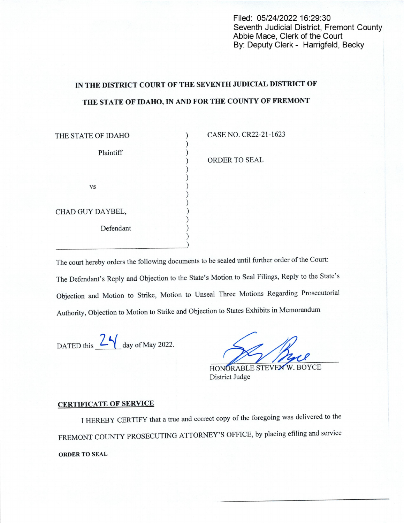Filed: 05/24/2022 16:29:30 Seventh Judicial District, Fremont County Abbie Mace, Clerk of the Court By: Deputy Clerk - Harrigfeld, Becky

## IN THE DISTRICT COURT OF THE SEVENTH JUDICIAL DISTRICT 0F THE STATE OF IDAHO, IN AND FOR THE COUNTY OF FREMONT

| THE STATE OF IDAHO | CASE NO. CR22-21-1623 |
|--------------------|-----------------------|
| Plaintiff          | ORDER TO SEAL         |
| <b>VS</b>          |                       |
| CHAD GUY DAYBEL,   |                       |
| Defendant          |                       |
|                    |                       |

The court hereby orders the following documents to be sealed until further order of the Court: The Defendant's Reply and Objection to the State's Motion to Seal Filings, Reply to the State's Objection and Motion to Strike, Motion to Unseal Three Motions Regarding Prosecutorial Authority, Objection to Motion to Strike and Objection to States Exhibits in Memorandum

DATED this  $2\frac{2}{\sqrt{2}}$  day of May 2022.

HONORABLE STEVEN W. BOYCE District Judge

## CERTIFICATE OF SERVICE

I HEREBY CERTIFY that a true and correct copy of the foregoing was delivered to the FREMONT COUNTY PROSECUTING ATTORNEY'S OFFICE, by placing efiling and service ORDER TO SEAL